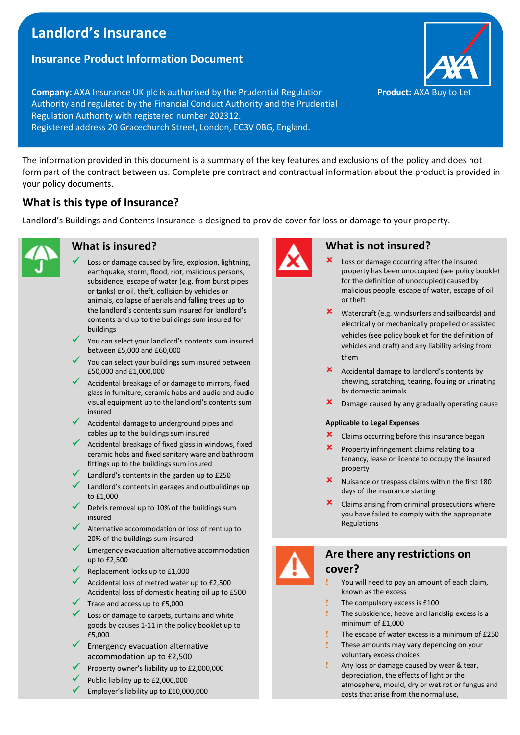# **Landlord's Insurance**

### **Insurance Product Information Document**

**Company:** AXA Insurance UK plc is authorised by the Prudential Regulation **Product:** AXA Buy to Let Authority and regulated by the Financial Conduct Authority and the Prudential Regulation Authority with registered number 202312. Registered address 20 Gracechurch Street, London, EC3V 0BG, England.

The information provided in this document is a summary of the key features and exclusions of the policy and does not form part of the contract between us. Complete pre contract and contractual information about the product is provided in your policy documents.

# **What is this type of Insurance?**

Landlord's Buildings and Contents Insurance is designed to provide cover for loss or damage to your property.



### **What is insured?**

- Loss or damage caused by fire, explosion, lightning, earthquake, storm, flood, riot, malicious persons, subsidence, escape of water (e.g. from burst pipes or tanks) or oil, theft, collision by vehicles or animals, collapse of aerials and falling trees up to the landlord's contents sum insured for landlord's contents and up to the buildings sum insured for buildings
- You can select your landlord's contents sum insured between £5,000 and £60,000
- You can select your buildings sum insured between £50,000 and £1,000,000
- Accidental breakage of or damage to mirrors, fixed glass in furniture, ceramic hobs and audio and audio visual equipment up to the landlord's contents sum insured
- ✓ Accidental damage to underground pipes and cables up to the buildings sum insured
- ◆ Accidental breakage of fixed glass in windows, fixed ceramic hobs and fixed sanitary ware and bathroom fittings up to the buildings sum insured
- Landlord's contents in the garden up to £250
- Landlord's contents in garages and outbuildings up to £1,000
- Debris removal up to 10% of the buildings sum insured
- Alternative accommodation or loss of rent up to 20% of the buildings sum insured
- Emergency evacuation alternative accommodation up to £2,500
- Replacement locks up to £1,000
- Accidental loss of metred water up to £2,500 Accidental loss of domestic heating oil up to £500
- Trace and access up to £5,000
- Loss or damage to carpets, curtains and white goods by causes 1-11 in the policy booklet up to £5,000
- Emergency evacuation alternative accommodation up to £2,500
- Property owner's liability up to £2,000,000
- Public liability up to £2,000,000
- Employer's liability up to £10,000,000



### **What is not insured?**

- Loss or damage occurring after the insured property has been unoccupied (see policy booklet for the definition of unoccupied) caused by malicious people, escape of water, escape of oil or theft
- Watercraft (e.g. windsurfers and sailboards) and electrically or mechanically propelled or assisted vehicles (see policy booklet for the definition of vehicles and craft) and any liability arising from them
- Accidental damage to landlord's contents by chewing, scratching, tearing, fouling or urinating by domestic animals
- **X** Damage caused by any gradually operating cause

#### **Applicable to Legal Expenses**

- **X** Claims occurring before this insurance began
- Property infringement claims relating to a tenancy, lease or licence to occupy the insured property
- Nuisance or trespass claims within the first 180 days of the insurance starting
- Claims arising from criminal prosecutions where you have failed to comply with the appropriate Regulations



## **Are there any restrictions on cover?**

- You will need to pay an amount of each claim, known as the excess
- **The compulsory excess is £100**
- The subsidence, heave and landslip excess is a minimum of £1,000
- The escape of water excess is a minimum of £250
- These amounts may vary depending on your voluntary excess choices
	- Any loss or damage caused by wear & tear, depreciation, the effects of light or the atmosphere, mould, dry or wet rot or fungus and costs that arise from the normal use,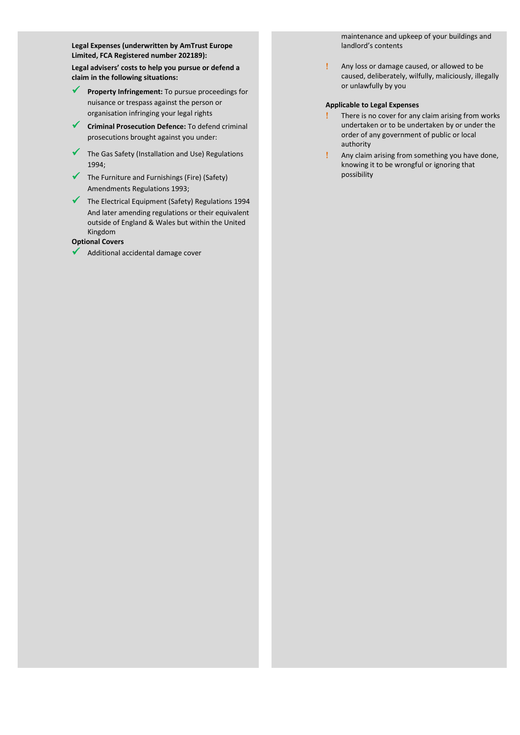**Legal Expenses (underwritten by AmTrust Europe Limited, FCA Registered number 202189): Legal advisers' costs to help you pursue or defend a claim in the following situations:**

- ✓ **Property Infringement:** To pursue proceedings for nuisance or trespass against the person or organisation infringing your legal rights
- **Criminal Prosecution Defence:** To defend criminal prosecutions brought against you under:
- ✓ The Gas Safety (Installation and Use) Regulations 1994;
- $\checkmark$  The Furniture and Furnishings (Fire) (Safety) Amendments Regulations 1993;
- ✓ The Electrical Equipment (Safety) Regulations 1994 And later amending regulations or their equivalent outside of England & Wales but within the United Kingdom
- **Optional Covers**
- Additional accidental damage cover

maintenance and upkeep of your buildings and landlord's contents

 Any loss or damage caused, or allowed to be caused, deliberately, wilfully, maliciously, illegally or unlawfully by you

#### **Applicable to Legal Expenses**

- There is no cover for any claim arising from works undertaken or to be undertaken by or under the order of any government of public or local authority
- Any claim arising from something you have done, knowing it to be wrongful or ignoring that possibility